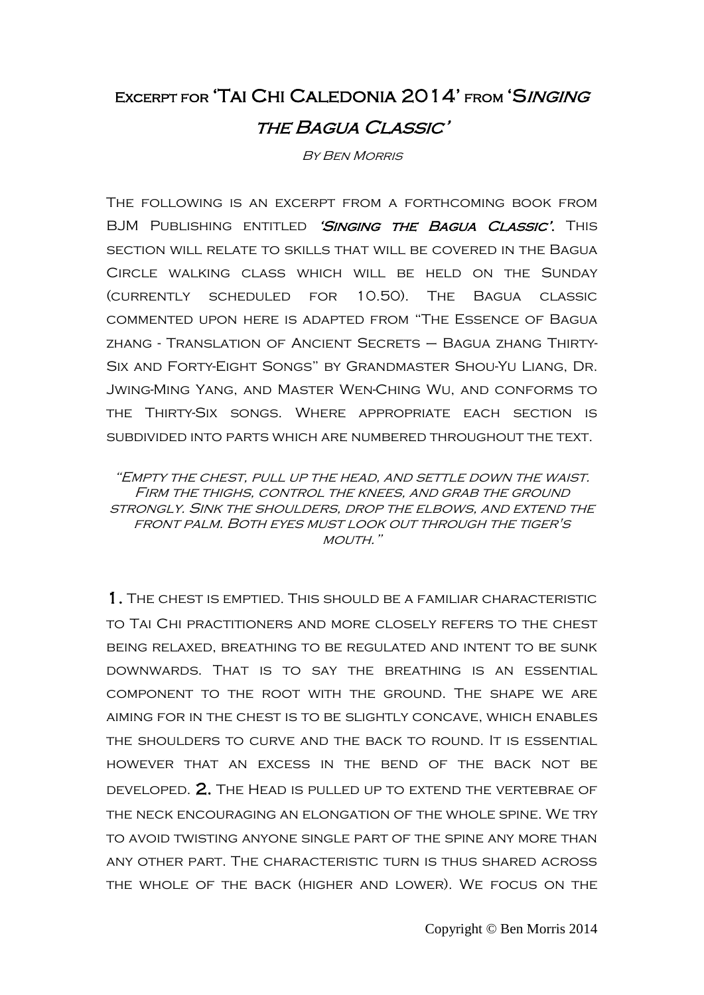## Excerpt for 'Tai Chi Caledonia 2014' from 'Singing the Bagua Classic'

By Ben Morris

The following is an excerpt from a forthcoming book from BJM PUBLISHING ENTITLED 'SINGING THE BAGUA CLASSIC'. THIS section will relate to skills that will be covered in the Bagua Circle walking class which will be held on the Sunday (currently scheduled for 10.50). The Bagua classic commented upon here is adapted from "The Essence of Bagua zhang - Translation of Ancient Secrets – Bagua zhang Thirty-Six and Forty-Eight Songs" by Grandmaster Shou-Yu Liang, Dr. Jwing-Ming Yang, and Master Wen-Ching Wu, and conforms to the Thirty-Six songs. Where appropriate each section is subdivided into parts which are numbered throughout the text.

"Empty the chest, pull up the head, and settle down the waist. Firm the thighs, control the knees, and grab the ground strongly. Sink the shoulders, drop the elbows, and extend the front palm. Both eyes must look out through the tiger's MOUTH."

1. The chest is emptied. This should be a familiar characteristic to Tai Chi practitioners and more closely refers to the chest being relaxed, breathing to be regulated and intent to be sunk downwards. That is to say the breathing is an essential component to the root with the ground. The shape we are aiming for in the chest is to be slightly concave, which enables the shoulders to curve and the back to round. It is essential however that an excess in the bend of the back not be developed. 2. The Head is pulled up to extend the vertebrae of the neck encouraging an elongation of the whole spine. We try to avoid twisting anyone single part of the spine any more than any other part. The characteristic turn is thus shared across the whole of the back (higher and lower). We focus on the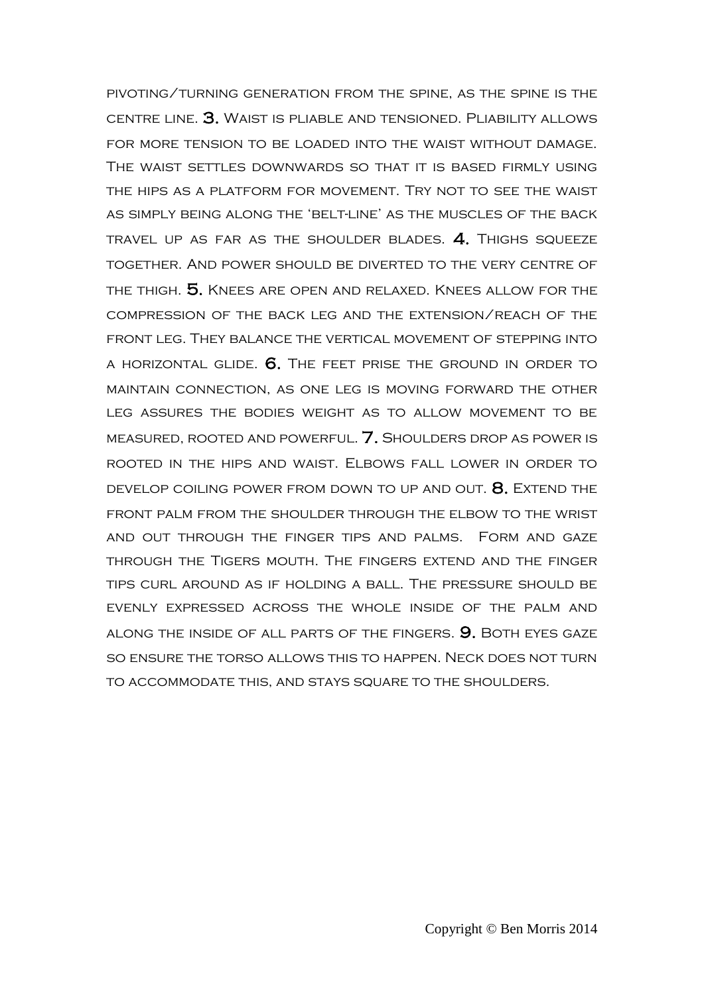pivoting/turning generation from the spine, as the spine is the centre line. 3. Waist is pliable and tensioned. Pliability allows for more tension to be loaded into the waist without damage. The waist settles downwards so that it is based firmly using the hips as a platform for movement. Try not to see the waist as simply being along the 'belt-line' as the muscles of the back TRAVEL UP AS FAR AS THE SHOULDER BLADES.  $4.$  Thighs squeeze together. And power should be diverted to the very centre of the thigh. 5. Knees are open and relaxed. Knees allow for the compression of the back leg and the extension/reach of the front leg. They balance the vertical movement of stepping into a horizontal glide. 6. The feet prise the ground in order to maintain connection, as one leg is moving forward the other leg assures the bodies weight as to allow movement to be measured, rooted and powerful. 7. Shoulders drop as power is rooted in the hips and waist. Elbows fall lower in order to develop coiling power from down to up and out. 8. Extend the front palm from the shoulder through the elbow to the wrist and out through the finger tips and palms. Form and gaze through the Tigers mouth. The fingers extend and the finger tips curl around as if holding a ball. The pressure should be evenly expressed across the whole inside of the palm and along the inside of all parts of the fingers. 9. Both eyes gaze so ensure the torso allows this to happen. Neck does not turn to accommodate this, and stays square to the shoulders.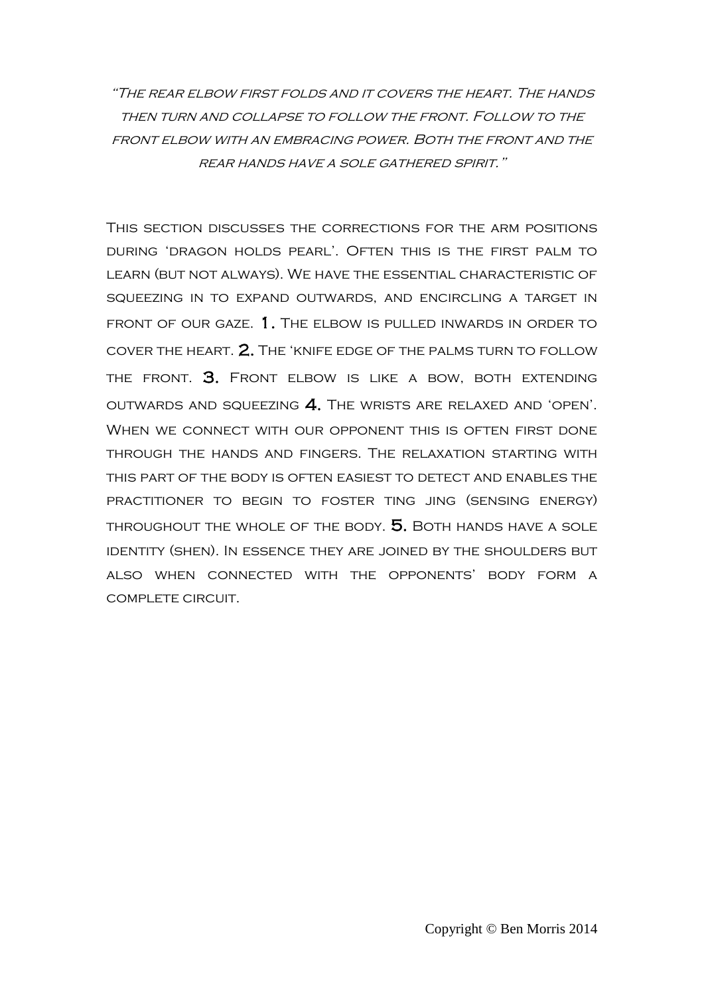"The rear elbow first folds and it covers the heart. The hands then turn and collapse to follow the front. Follow to the FRONT ELBOW WITH AN EMBRACING POWER. BOTH THE FRONT AND THE rear hands have a sole gathered spirit."

This section discusses the corrections for the arm positions during 'dragon holds pearl'. Often this is the first palm to learn (but not always). We have the essential characteristic of squeezing in to expand outwards, and encircling a target in front of our gaze. 1. The elbow is pulled inwards in order to cover the heart. 2. The 'knife edge of the palms turn to follow THE FRONT. 3. FRONT ELBOW IS LIKE A BOW, BOTH EXTENDING outwards and squeezing 4. The wrists are relaxed and 'open'. When we connect with our opponent this is often first done through the hands and fingers. The relaxation starting with this part of the body is often easiest to detect and enables the practitioner to begin to foster ting jing (sensing energy) THROUGHOUT THE WHOLE OF THE BODY. 5. BOTH HANDS HAVE A SOLE identity (shen). In essence they are joined by the shoulders but also when connected with the opponents' body form a complete circuit.